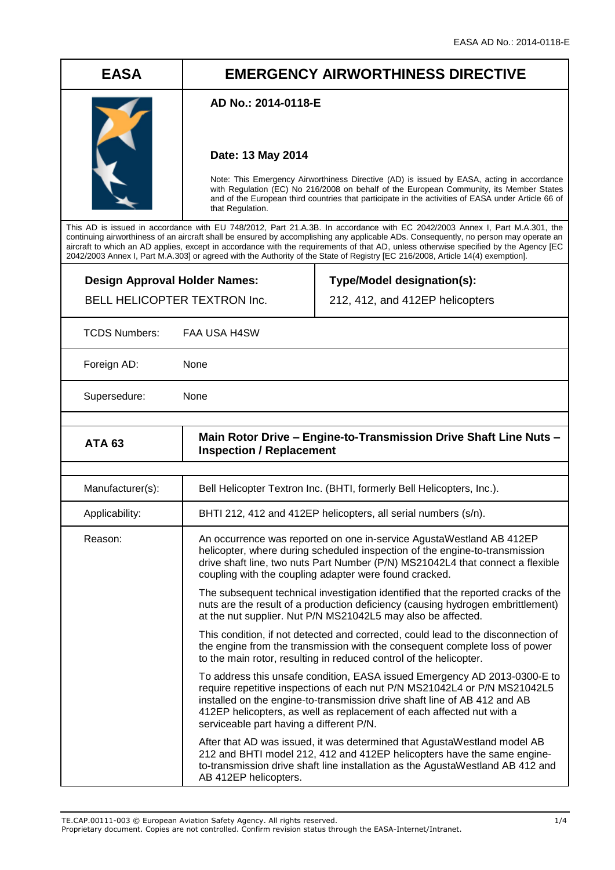# **EASA EMERGENCY AIRWORTHINESS DIRECTIVE**

### **AD No.: 2014-0118-E**

### **Date: 13 May 2014**

Note: This Emergency Airworthiness Directive (AD) is issued by EASA, acting in accordance with Regulation (EC) No 216/2008 on behalf of the European Community, its Member States and of the European third countries that participate in the activities of EASA under Article 66 of that Regulation.

This AD is issued in accordance with EU 748/2012, Part 21.A.3B. In accordance with EC 2042/2003 Annex I, Part M.A.301, the continuing airworthiness of an aircraft shall be ensured by accomplishing any applicable ADs. Consequently, no person may operate an aircraft to which an AD applies, except in accordance with the requirements of that AD, unless otherwise specified by the Agency [EC 2042/2003 Annex I, Part M.A.303] or agreed with the Authority of the State of Registry [EC 216/2008, Article 14(4) exemption].

**Design Approval Holder Names:** BELL HELICOPTER TEXTRON Inc.

**Type/Model designation(s):** 212, 412, and 412EP helicopters

TCDS Numbers: FAA USA H4SW

Foreign AD: None

Supersedure: None

| <b>ATA 63</b>    | Main Rotor Drive - Engine-to-Transmission Drive Shaft Line Nuts -<br><b>Inspection / Replacement</b>                                                                                                                                                                                                                                                     |
|------------------|----------------------------------------------------------------------------------------------------------------------------------------------------------------------------------------------------------------------------------------------------------------------------------------------------------------------------------------------------------|
|                  |                                                                                                                                                                                                                                                                                                                                                          |
| Manufacturer(s): | Bell Helicopter Textron Inc. (BHTI, formerly Bell Helicopters, Inc.).                                                                                                                                                                                                                                                                                    |
| Applicability:   | BHTI 212, 412 and 412EP helicopters, all serial numbers (s/n).                                                                                                                                                                                                                                                                                           |
| Reason:          | An occurrence was reported on one in-service AgustaWestland AB 412EP<br>helicopter, where during scheduled inspection of the engine-to-transmission<br>drive shaft line, two nuts Part Number (P/N) MS21042L4 that connect a flexible<br>coupling with the coupling adapter were found cracked.                                                          |
|                  | The subsequent technical investigation identified that the reported cracks of the<br>nuts are the result of a production deficiency (causing hydrogen embrittlement)<br>at the nut supplier. Nut P/N MS21042L5 may also be affected.                                                                                                                     |
|                  | This condition, if not detected and corrected, could lead to the disconnection of<br>the engine from the transmission with the consequent complete loss of power<br>to the main rotor, resulting in reduced control of the helicopter.                                                                                                                   |
|                  | To address this unsafe condition, EASA issued Emergency AD 2013-0300-E to<br>require repetitive inspections of each nut P/N MS21042L4 or P/N MS21042L5<br>installed on the engine-to-transmission drive shaft line of AB 412 and AB<br>412EP helicopters, as well as replacement of each affected nut with a<br>serviceable part having a different P/N. |
|                  | After that AD was issued, it was determined that AgustaWestland model AB<br>212 and BHTI model 212, 412 and 412EP helicopters have the same engine-<br>to-transmission drive shaft line installation as the AgustaWestland AB 412 and<br>AB 412EP helicopters.                                                                                           |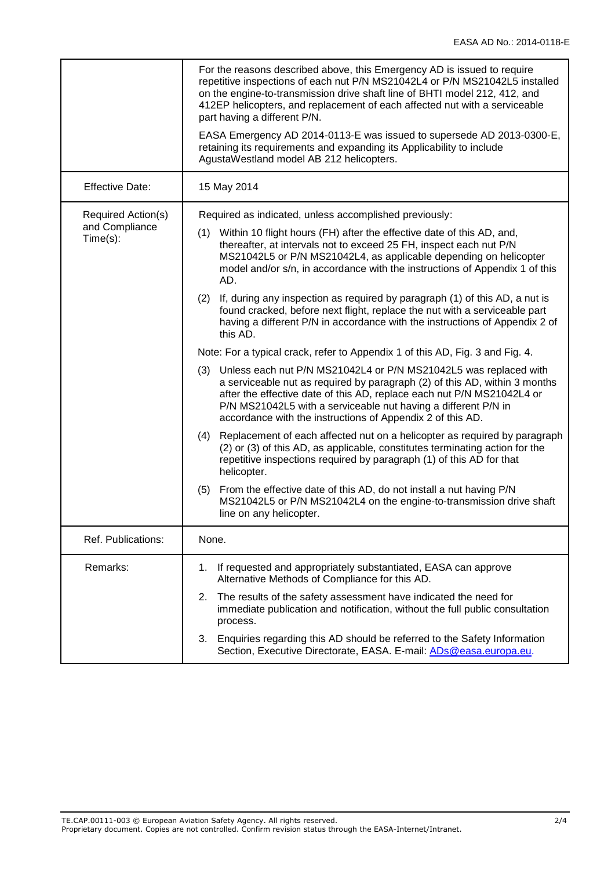|                                                  | For the reasons described above, this Emergency AD is issued to require<br>repetitive inspections of each nut P/N MS21042L4 or P/N MS21042L5 installed<br>on the engine-to-transmission drive shaft line of BHTI model 212, 412, and<br>412EP helicopters, and replacement of each affected nut with a serviceable<br>part having a different P/N.<br>EASA Emergency AD 2014-0113-E was issued to supersede AD 2013-0300-E,<br>retaining its requirements and expanding its Applicability to include<br>AgustaWestland model AB 212 helicopters. |
|--------------------------------------------------|--------------------------------------------------------------------------------------------------------------------------------------------------------------------------------------------------------------------------------------------------------------------------------------------------------------------------------------------------------------------------------------------------------------------------------------------------------------------------------------------------------------------------------------------------|
| <b>Effective Date:</b>                           | 15 May 2014                                                                                                                                                                                                                                                                                                                                                                                                                                                                                                                                      |
| Required Action(s)<br>and Compliance<br>Time(s): | Required as indicated, unless accomplished previously:                                                                                                                                                                                                                                                                                                                                                                                                                                                                                           |
|                                                  | Within 10 flight hours (FH) after the effective date of this AD, and,<br>(1)<br>thereafter, at intervals not to exceed 25 FH, inspect each nut P/N<br>MS21042L5 or P/N MS21042L4, as applicable depending on helicopter<br>model and/or s/n, in accordance with the instructions of Appendix 1 of this<br>AD.                                                                                                                                                                                                                                    |
|                                                  | If, during any inspection as required by paragraph (1) of this AD, a nut is<br>(2)<br>found cracked, before next flight, replace the nut with a serviceable part<br>having a different P/N in accordance with the instructions of Appendix 2 of<br>this AD.                                                                                                                                                                                                                                                                                      |
|                                                  | Note: For a typical crack, refer to Appendix 1 of this AD, Fig. 3 and Fig. 4.                                                                                                                                                                                                                                                                                                                                                                                                                                                                    |
|                                                  | Unless each nut P/N MS21042L4 or P/N MS21042L5 was replaced with<br>(3)<br>a serviceable nut as required by paragraph (2) of this AD, within 3 months<br>after the effective date of this AD, replace each nut P/N MS21042L4 or<br>P/N MS21042L5 with a serviceable nut having a different P/N in<br>accordance with the instructions of Appendix 2 of this AD.                                                                                                                                                                                  |
|                                                  | Replacement of each affected nut on a helicopter as required by paragraph<br>(4)<br>(2) or (3) of this AD, as applicable, constitutes terminating action for the<br>repetitive inspections required by paragraph (1) of this AD for that<br>helicopter.                                                                                                                                                                                                                                                                                          |
|                                                  | From the effective date of this AD, do not install a nut having P/N<br>(5)<br>MS21042L5 or P/N MS21042L4 on the engine-to-transmission drive shaft<br>line on any helicopter.                                                                                                                                                                                                                                                                                                                                                                    |
| Ref. Publications:                               | None.                                                                                                                                                                                                                                                                                                                                                                                                                                                                                                                                            |
| Remarks:                                         | If requested and appropriately substantiated, EASA can approve<br>1.<br>Alternative Methods of Compliance for this AD.                                                                                                                                                                                                                                                                                                                                                                                                                           |
|                                                  | 2. The results of the safety assessment have indicated the need for<br>immediate publication and notification, without the full public consultation<br>process.                                                                                                                                                                                                                                                                                                                                                                                  |
|                                                  | 3.<br>Enquiries regarding this AD should be referred to the Safety Information<br>Section, Executive Directorate, EASA. E-mail: ADs@easa.europa.eu.                                                                                                                                                                                                                                                                                                                                                                                              |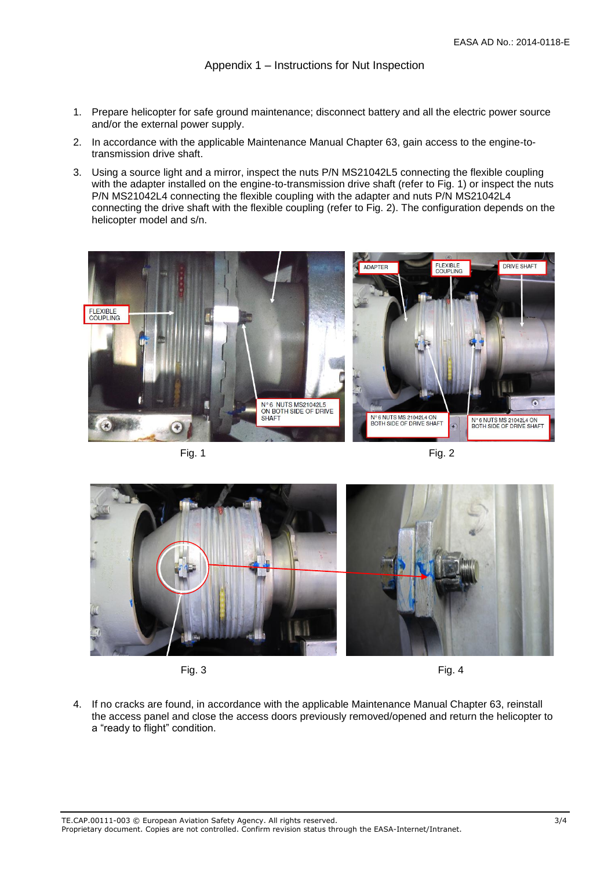Appendix 1 – Instructions for Nut Inspection

- 1. Prepare helicopter for safe ground maintenance; disconnect battery and all the electric power source and/or the external power supply.
- 2. In accordance with the applicable Maintenance Manual Chapter 63, gain access to the engine-totransmission drive shaft.
- 3. Using a source light and a mirror, inspect the nuts P/N MS21042L5 connecting the flexible coupling with the adapter installed on the engine-to-transmission drive shaft (refer to Fig. 1) or inspect the nuts P/N MS21042L4 connecting the flexible coupling with the adapter and nuts P/N MS21042L4 connecting the drive shaft with the flexible coupling (refer to Fig. 2). The configuration depends on the helicopter model and s/n.



Fig. 1 Fig. 2



Fig. 3 Fig. 4

4. If no cracks are found, in accordance with the applicable Maintenance Manual Chapter 63, reinstall the access panel and close the access doors previously removed/opened and return the helicopter to a "ready to flight" condition.